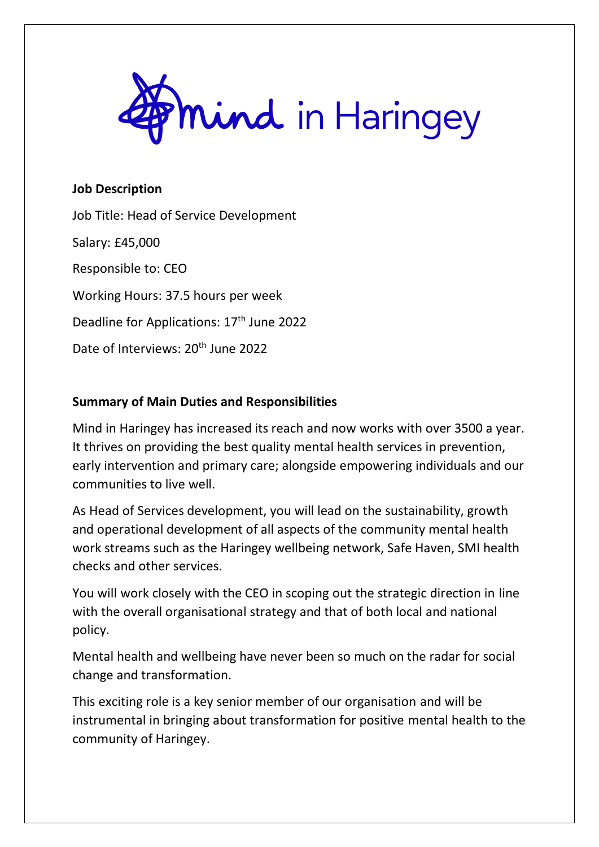

#### **Job Description**

Job Title: Head of Service Development Salary: £45,000 Responsible to: CEO Working Hours: 37.5 hours per week Deadline for Applications: 17<sup>th</sup> June 2022 Date of Interviews: 20<sup>th</sup> June 2022

### **Summary of Main Duties and Responsibilities**

Mind in Haringey has increased its reach and now works with over 3500 a year. It thrives on providing the best quality mental health services in prevention, early intervention and primary care; alongside empowering individuals and our communities to live well.

As Head of Services development, you will lead on the sustainability, growth and operational development of all aspects of the community mental health work streams such as the Haringey wellbeing network, Safe Haven, SMI health checks and other services.

You will work closely with the CEO in scoping out the strategic direction in line with the overall organisational strategy and that of both local and national policy.

Mental health and wellbeing have never been so much on the radar for social change and transformation.

This exciting role is a key senior member of our organisation and will be instrumental in bringing about transformation for positive mental health to the community of Haringey.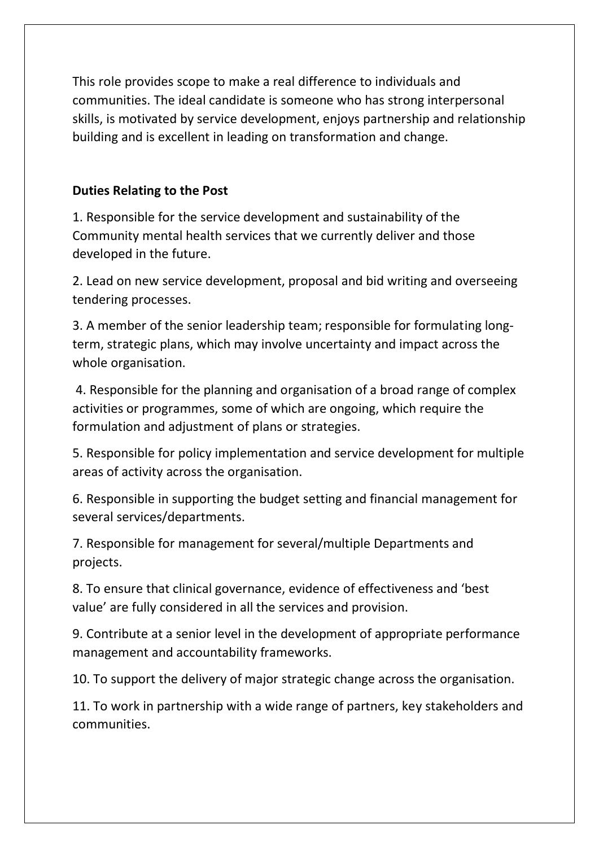This role provides scope to make a real difference to individuals and communities. The ideal candidate is someone who has strong interpersonal skills, is motivated by service development, enjoys partnership and relationship building and is excellent in leading on transformation and change.

## **Duties Relating to the Post**

1. Responsible for the service development and sustainability of the Community mental health services that we currently deliver and those developed in the future.

2. Lead on new service development, proposal and bid writing and overseeing tendering processes.

3. A member of the senior leadership team; responsible for formulating longterm, strategic plans, which may involve uncertainty and impact across the whole organisation.

4. Responsible for the planning and organisation of a broad range of complex activities or programmes, some of which are ongoing, which require the formulation and adjustment of plans or strategies.

5. Responsible for policy implementation and service development for multiple areas of activity across the organisation.

6. Responsible in supporting the budget setting and financial management for several services/departments.

7. Responsible for management for several/multiple Departments and projects.

8. To ensure that clinical governance, evidence of effectiveness and 'best value' are fully considered in all the services and provision.

9. Contribute at a senior level in the development of appropriate performance management and accountability frameworks.

10. To support the delivery of major strategic change across the organisation.

11. To work in partnership with a wide range of partners, key stakeholders and communities.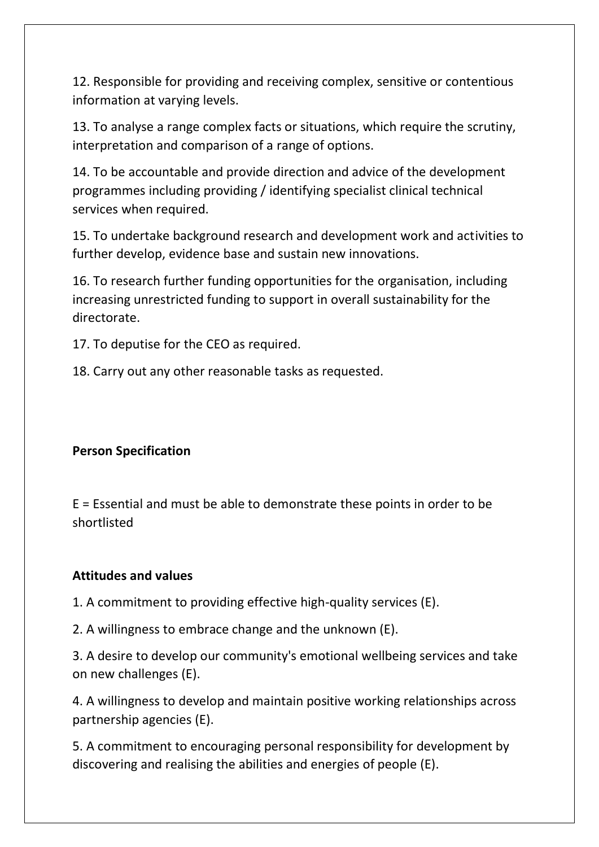12. Responsible for providing and receiving complex, sensitive or contentious information at varying levels.

13. To analyse a range complex facts or situations, which require the scrutiny, interpretation and comparison of a range of options.

14. To be accountable and provide direction and advice of the development programmes including providing / identifying specialist clinical technical services when required.

15. To undertake background research and development work and activities to further develop, evidence base and sustain new innovations.

16. To research further funding opportunities for the organisation, including increasing unrestricted funding to support in overall sustainability for the directorate.

17. To deputise for the CEO as required.

18. Carry out any other reasonable tasks as requested.

# **Person Specification**

E = Essential and must be able to demonstrate these points in order to be shortlisted

### **Attitudes and values**

1. A commitment to providing effective high-quality services (E).

2. A willingness to embrace change and the unknown (E).

3. A desire to develop our community's emotional wellbeing services and take on new challenges (E).

4. A willingness to develop and maintain positive working relationships across partnership agencies (E).

5. A commitment to encouraging personal responsibility for development by discovering and realising the abilities and energies of people (E).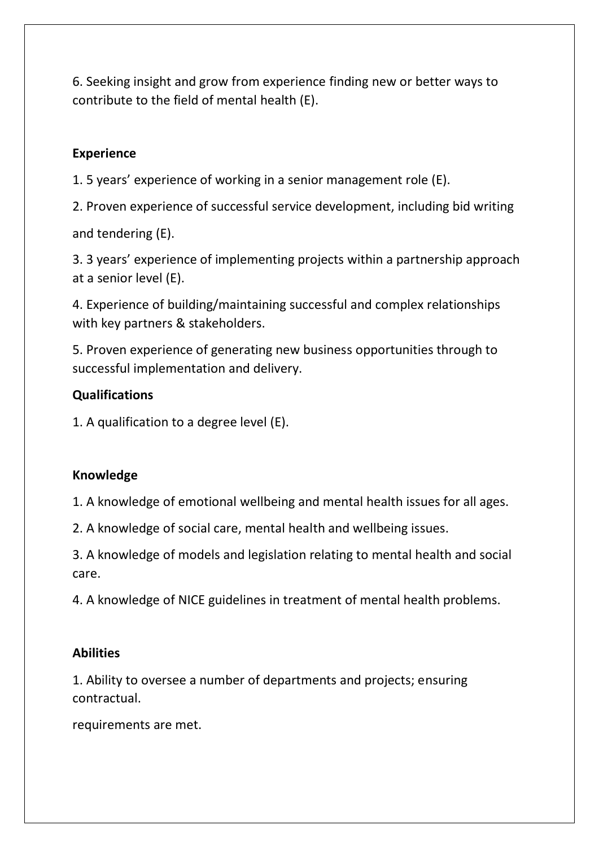6. Seeking insight and grow from experience finding new or better ways to contribute to the field of mental health (E).

## **Experience**

1. 5 years' experience of working in a senior management role (E).

2. Proven experience of successful service development, including bid writing

and tendering (E).

3. 3 years' experience of implementing projects within a partnership approach at a senior level (E).

4. Experience of building/maintaining successful and complex relationships with key partners & stakeholders.

5. Proven experience of generating new business opportunities through to successful implementation and delivery.

### **Qualifications**

1. A qualification to a degree level (E).

# **Knowledge**

1. A knowledge of emotional wellbeing and mental health issues for all ages.

2. A knowledge of social care, mental health and wellbeing issues.

3. A knowledge of models and legislation relating to mental health and social care.

4. A knowledge of NICE guidelines in treatment of mental health problems.

### **Abilities**

1. Ability to oversee a number of departments and projects; ensuring contractual.

requirements are met.